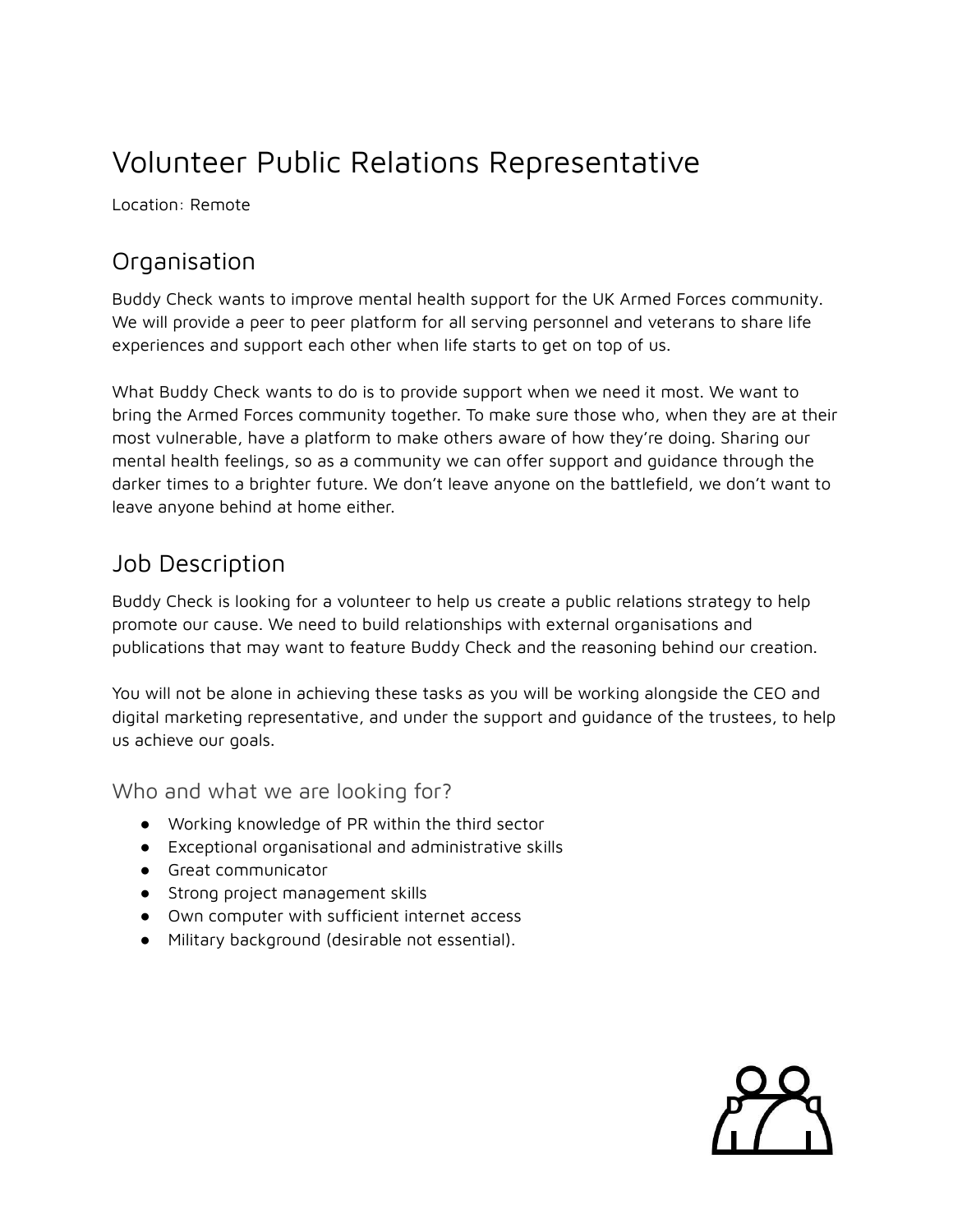# Volunteer Public Relations Representative

Location: Remote

## **Organisation**

Buddy Check wants to improve mental health support for the UK Armed Forces community. We will provide a peer to peer platform for all serving personnel and veterans to share life experiences and support each other when life starts to get on top of us.

What Buddy Check wants to do is to provide support when we need it most. We want to bring the Armed Forces community together. To make sure those who, when they are at their most vulnerable, have a platform to make others aware of how they're doing. Sharing our mental health feelings, so as a community we can offer support and guidance through the darker times to a brighter future. We don't leave anyone on the battlefield, we don't want to leave anyone behind at home either.

## Job Description

Buddy Check is looking for a volunteer to help us create a public relations strategy to help promote our cause. We need to build relationships with external organisations and publications that may want to feature Buddy Check and the reasoning behind our creation.

You will not be alone in achieving these tasks as you will be working alongside the CEO and digital marketing representative, and under the support and guidance of the trustees, to help us achieve our goals.

Who and what we are looking for?

- Working knowledge of PR within the third sector
- Exceptional organisational and administrative skills
- Great communicator
- Strong project management skills
- Own computer with sufficient internet access
- Military background (desirable not essential).